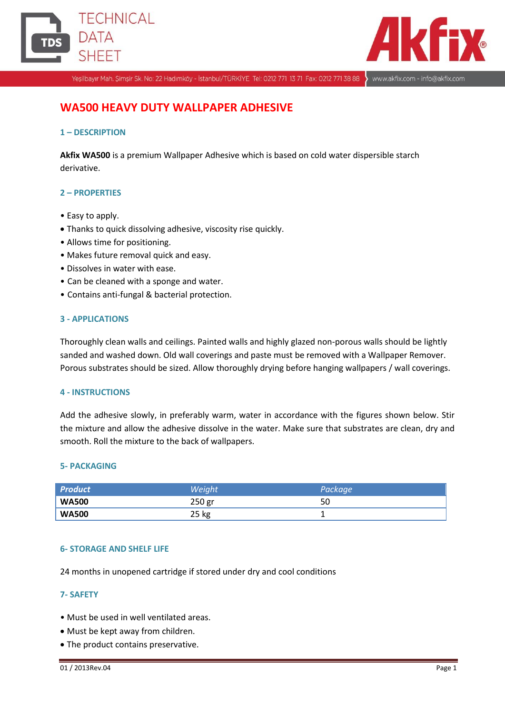



Yeşilbayır Mah. Şimşir Sk. No: 22 Hadımköy - İstanbul/TÜRKİYE Tel: 0212 771 13 71 Fax: 0212 771 38 88

www.akfix.com - info@akfix.com

# **WA500 HEAVY DUTY WALLPAPER ADHESIVE**

## **1 – DESCRIPTION**

**Akfix WA500** is a premium Wallpaper Adhesive which is based on cold water dispersible starch derivative.

# **2 – PROPERTIES**

- Easy to apply.
- Thanks to quick dissolving adhesive, viscosity rise quickly.
- Allows time for positioning.
- Makes future removal quick and easy.
- Dissolves in water with ease.
- Can be cleaned with a sponge and water.
- Contains anti-fungal & bacterial protection.

## **3 - APPLICATIONS**

Thoroughly clean walls and ceilings. Painted walls and highly glazed non-porous walls should be lightly sanded and washed down. Old wall coverings and paste must be removed with a Wallpaper Remover. Porous substrates should be sized. Allow thoroughly drying before hanging wallpapers / wall coverings.

#### **4 - INSTRUCTIONS**

Add the adhesive slowly, in preferably warm, water in accordance with the figures shown below. Stir the mixture and allow the adhesive dissolve in the water. Make sure that substrates are clean, dry and smooth. Roll the mixture to the back of wallpapers.

#### **5- PACKAGING**

| <b>Product</b> | Weight | Package |
|----------------|--------|---------|
| <b>WA500</b>   | 250 gr | 50      |
| <b>WA500</b>   | 25 kg  |         |

## **6- STORAGE AND SHELF LIFE**

24 months in unopened cartridge if stored under dry and cool conditions

#### **7- SAFETY**

- Must be used in well ventilated areas.
- Must be kept away from children.
- The product contains preservative.